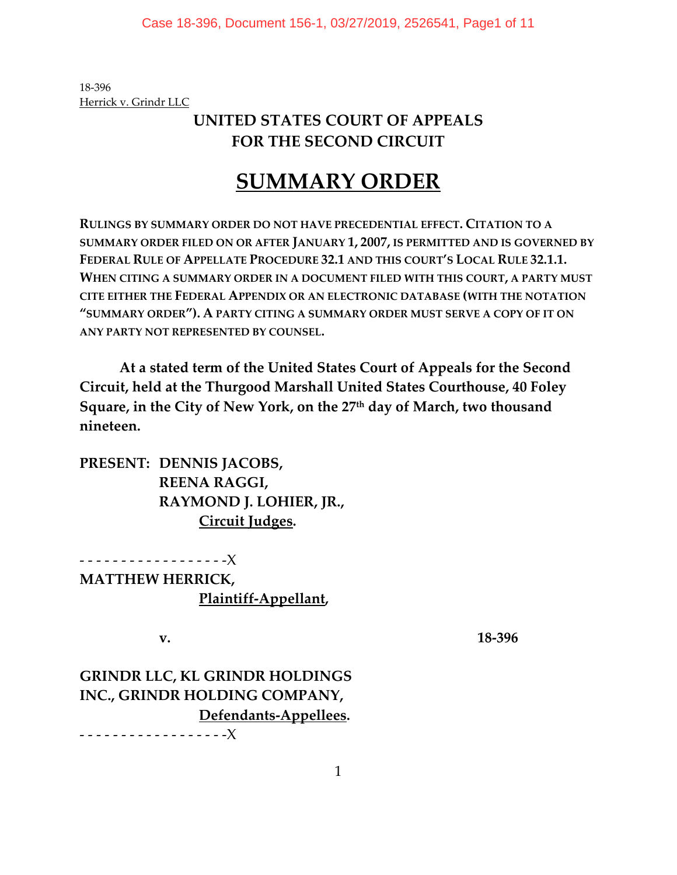18‐396 Herrick v. Grindr LLC

# **UNITED STATES COURT OF APPEALS FOR THE SECOND CIRCUIT**

# **SUMMARY ORDER**

**RULINGS BY SUMMARY ORDER DO NOT HAVE PRECEDENTIAL EFFECT. CITATION TO A SUMMARY ORDER FILED ON OR AFTER JANUARY 1, 2007, IS PERMITTED AND IS GOVERNED BY FEDERAL RULE OF APPELLATE PROCEDURE 32.1 AND THIS COURT'S LOCAL RULE 32.1.1. WHEN CITING A SUMMARY ORDER IN A DOCUMENT FILED WITH THIS COURT, A PARTY MUST CITE EITHER THE FEDERAL APPENDIX OR AN ELECTRONIC DATABASE (WITH THE NOTATION "SUMMARY ORDER"). A PARTY CITING A SUMMARY ORDER MUST SERVE A COPY OF IT ON ANY PARTY NOT REPRESENTED BY COUNSEL.**

**At a stated term of the United States Court of Appeals for the Second Circuit, held at the Thurgood Marshall United States Courthouse, 40 Foley Square, in the City of New York, on the 27th day of March, two thousand nineteen.**

**PRESENT: DENNIS JACOBS, REENA RAGGI, RAYMOND J. LOHIER, JR., Circuit Judges.**

‐ ‐ ‐ ‐ ‐ ‐ ‐ ‐ ‐ ‐ ‐ ‐ ‐ ‐ ‐ ‐ ‐ ‐X **MATTHEW HERRICK, Plaintiff‐Appellant,**

**v. 18‐396**

# **GRINDR LLC, KL GRINDR HOLDINGS INC., GRINDR HOLDING COMPANY, Defendants‐Appellees.**

‐ ‐ ‐ ‐ ‐ ‐ ‐ ‐ ‐ ‐ ‐ ‐ ‐ ‐ ‐ ‐ ‐ ‐X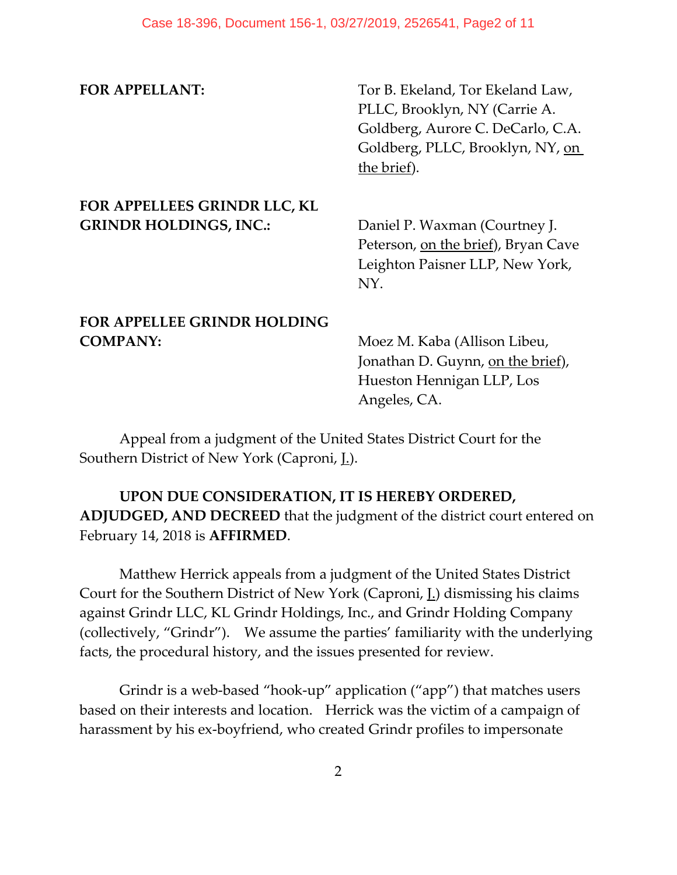**FOR APPELLANT:**  Tor B. Ekeland, Tor Ekeland Law, PLLC, Brooklyn, NY (Carrie A. Goldberg, Aurore C. DeCarlo, C.A. Goldberg, PLLC, Brooklyn, NY, on the brief).

### **FOR APPELLEES GRINDR LLC, KL GRINDR HOLDINGS, INC.:** Daniel P. Waxman (Courtney J.

Peterson, on the brief), Bryan Cave Leighton Paisner LLP, New York, NY.

#### **FOR APPELLEE GRINDR HOLDING COMPANY:** Moez M. Kaba (Allison Libeu,

Jonathan D. Guynn, on the brief), Hueston Hennigan LLP, Los Angeles, CA.

Appeal from a judgment of the United States District Court for the Southern District of New York (Caproni, J.).

### **UPON DUE CONSIDERATION, IT IS HEREBY ORDERED, ADJUDGED, AND DECREED** that the judgment of the district court entered on February 14, 2018 is **AFFIRMED**.

Matthew Herrick appeals from a judgment of the United States District Court for the Southern District of New York (Caproni,  $L$ ) dismissing his claims against Grindr LLC, KL Grindr Holdings, Inc., and Grindr Holding Company (collectively, "Grindr"). We assume the parties' familiarity with the underlying facts, the procedural history, and the issues presented for review.

Grindr is a web‐based "hook‐up" application ("app") that matches users based on their interests and location. Herrick was the victim of a campaign of harassment by his ex-boyfriend, who created Grindr profiles to impersonate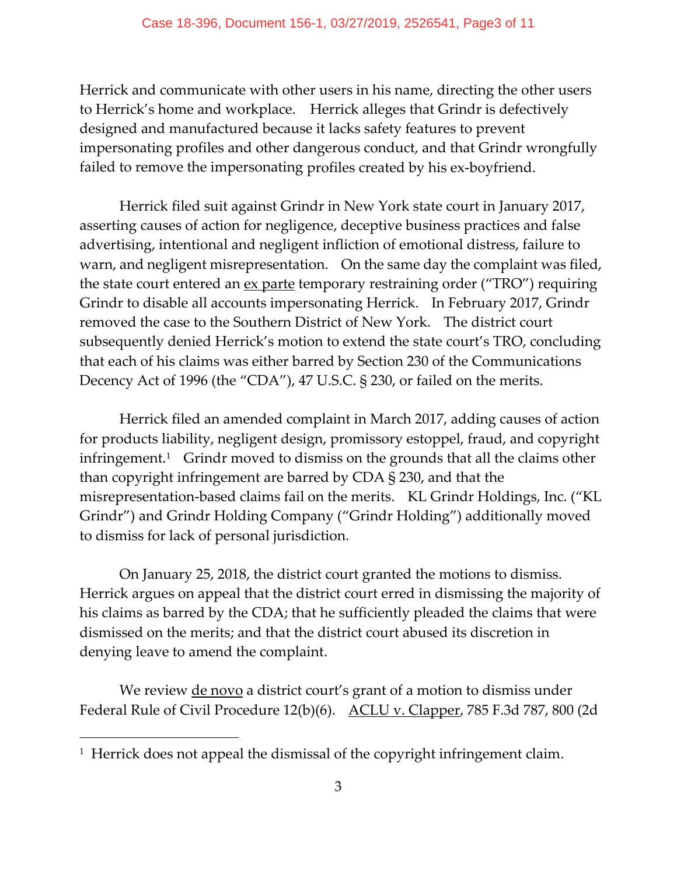Herrick and communicate with other users in his name, directing the other users to Herrick's home and workplace. Herrick alleges that Grindr is defectively designed and manufactured because it lacks safety features to prevent impersonating profiles and other dangerous conduct, and that Grindr wrongfully failed to remove the impersonating profiles created by his ex‐boyfriend.

Herrick filed suit against Grindr in New York state court in January 2017, asserting causes of action for negligence, deceptive business practices and false advertising, intentional and negligent infliction of emotional distress, failure to warn, and negligent misrepresentation. On the same day the complaint was filed, the state court entered an <u>ex parte</u> temporary restraining order ("TRO") requiring Grindr to disable all accounts impersonating Herrick. In February 2017, Grindr removed the case to the Southern District of New York. The district court subsequently denied Herrick's motion to extend the state court's TRO, concluding that each of his claims was either barred by Section 230 of the Communications Decency Act of 1996 (the "CDA"), 47 U.S.C. § 230, or failed on the merits.

Herrick filed an amended complaint in March 2017, adding causes of action for products liability, negligent design, promissory estoppel, fraud, and copyright infringement.<sup>1</sup> Grindr moved to dismiss on the grounds that all the claims other than copyright infringement are barred by CDA § 230, and that the misrepresentation-based claims fail on the merits. KL Grindr Holdings, Inc. ("KL Grindr") and Grindr Holding Company ("Grindr Holding") additionally moved to dismiss for lack of personal jurisdiction.

On January 25, 2018, the district court granted the motions to dismiss. Herrick argues on appeal that the district court erred in dismissing the majority of his claims as barred by the CDA; that he sufficiently pleaded the claims that were dismissed on the merits; and that the district court abused its discretion in denying leave to amend the complaint.

We review <u>de novo</u> a district court's grant of a motion to dismiss under Federal Rule of Civil Procedure 12(b)(6). ACLU v. Clapper, 785 F.3d 787, 800 (2d

 $\overline{a}$ 

<sup>&</sup>lt;sup>1</sup> Herrick does not appeal the dismissal of the copyright infringement claim.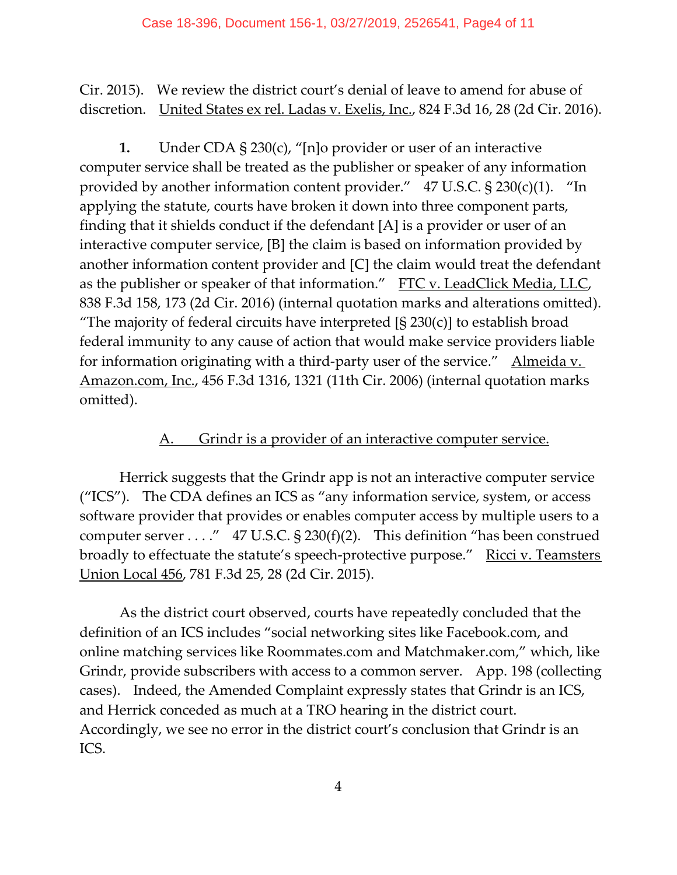Cir. 2015). We review the district court's denial of leave to amend for abuse of discretion. United States ex rel. Ladas v. Exelis, Inc., 824 F.3d 16, 28 (2d Cir. 2016).

**1.** Under CDA § 230(c), "[n]o provider or user of an interactive computer service shall be treated as the publisher or speaker of any information provided by another information content provider."  $47 \text{ U.S.C.}$  § 230(c)(1). "In applying the statute, courts have broken it down into three component parts, finding that it shields conduct if the defendant [A] is a provider or user of an interactive computer service, [B] the claim is based on information provided by another information content provider and [C] the claim would treat the defendant as the publisher or speaker of that information." FTC v. LeadClick Media, LLC, 838 F.3d 158, 173 (2d Cir. 2016) (internal quotation marks and alterations omitted). "The majority of federal circuits have interpreted  $[\S 230(c)]$  to establish broad federal immunity to any cause of action that would make service providers liable for information originating with a third-party user of the service." Almeida v. Amazon.com, Inc., 456 F.3d 1316, 1321 (11th Cir. 2006) (internal quotation marks omitted).

#### Grindr is a provider of an interactive computer service.

Herrick suggests that the Grindr app is not an interactive computer service ("ICS"). The CDA defines an ICS as "any information service, system, or access software provider that provides or enables computer access by multiple users to a computer server  $\dots$ ." 47 U.S.C. § 230(f)(2). This definition "has been construed broadly to effectuate the statute's speech-protective purpose." Ricci v. Teamsters Union Local 456, 781 F.3d 25, 28 (2d Cir. 2015).

As the district court observed, courts have repeatedly concluded that the definition of an ICS includes "social networking sites like Facebook.com, and online matching services like Roommates.com and Matchmaker.com," which, like Grindr, provide subscribers with access to a common server. App. 198 (collecting cases). Indeed, the Amended Complaint expressly states that Grindr is an ICS, and Herrick conceded as much at a TRO hearing in the district court. Accordingly, we see no error in the district court's conclusion that Grindr is an ICS.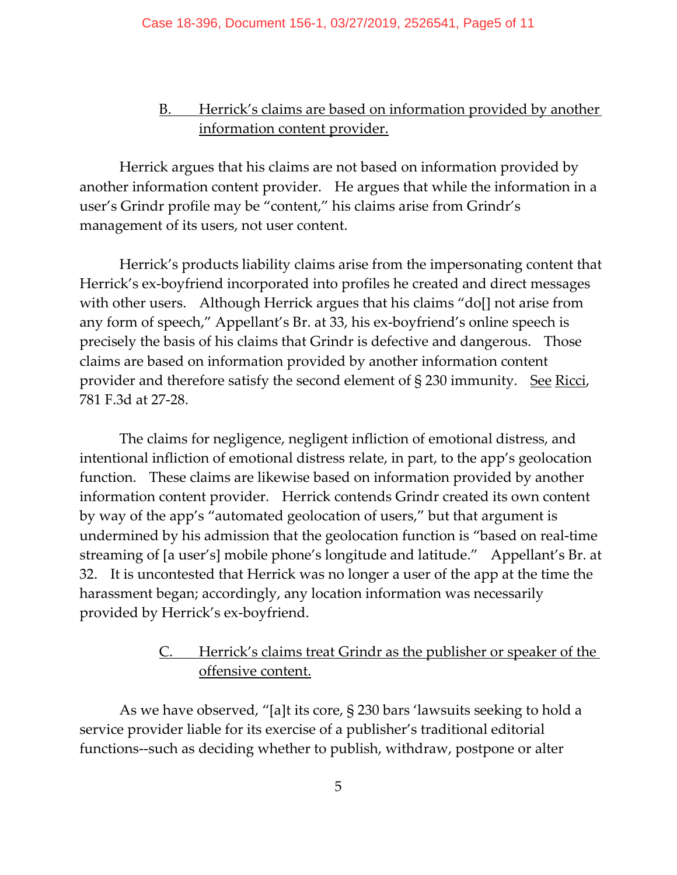#### B. Herrick's claims are based on information provided by another information content provider.

Herrick argues that his claims are not based on information provided by another information content provider. He argues that while the information in a user's Grindr profile may be "content," his claims arise from Grindr's management of its users, not user content.

Herrick's products liability claims arise from the impersonating content that Herrick's ex-boyfriend incorporated into profiles he created and direct messages with other users. Although Herrick argues that his claims "do[] not arise from any form of speech," Appellant's Br. at 33, his ex‐boyfriend's online speech is precisely the basis of his claims that Grindr is defective and dangerous. Those claims are based on information provided by another information content provider and therefore satisfy the second element of  $\S 230$  immunity. See Ricci, 781 F.3d at 27‐28.

The claims for negligence, negligent infliction of emotional distress, and intentional infliction of emotional distress relate, in part, to the app's geolocation function. These claims are likewise based on information provided by another information content provider. Herrick contends Grindr created its own content by way of the app's "automated geolocation of users," but that argument is undermined by his admission that the geolocation function is "based on real‐time streaming of [a user's] mobile phone's longitude and latitude." Appellant's Br. at 32. It is uncontested that Herrick was no longer a user of the app at the time the harassment began; accordingly, any location information was necessarily provided by Herrick's ex‐boyfriend.

#### Herrick's claims treat Grindr as the publisher or speaker of the offensive content.

As we have observed, "[a]t its core, § 230 bars 'lawsuits seeking to hold a service provider liable for its exercise of a publisher's traditional editorial functions‐‐such as deciding whether to publish, withdraw, postpone or alter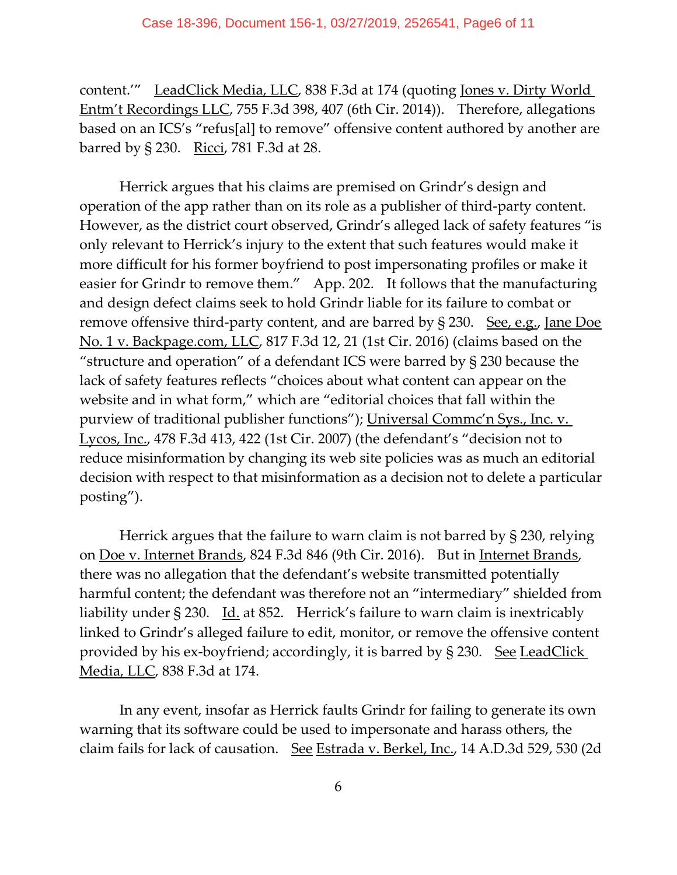content.'" LeadClick Media, LLC, 838 F.3d at 174 (quoting Jones v. Dirty World Entm't Recordings LLC, 755 F.3d 398, 407 (6th Cir. 2014)). Therefore, allegations based on an ICS's "refus[al] to remove" offensive content authored by another are barred by § 230. Ricci, 781 F.3d at 28.

Herrick argues that his claims are premised on Grindr's design and operation of the app rather than on its role as a publisher of third‐party content. However, as the district court observed, Grindr's alleged lack of safety features "is only relevant to Herrick's injury to the extent that such features would make it more difficult for his former boyfriend to post impersonating profiles or make it easier for Grindr to remove them." App. 202. It follows that the manufacturing and design defect claims seek to hold Grindr liable for its failure to combat or remove offensive third-party content, and are barred by  $\S$  230. See, e.g., Jane Doe No. 1 v. Backpage.com, LLC, 817 F.3d 12, 21 (1st Cir. 2016) (claims based on the "structure and operation" of a defendant ICS were barred by § 230 because the lack of safety features reflects "choices about what content can appear on the website and in what form," which are "editorial choices that fall within the purview of traditional publisher functions"); Universal Commc'n Sys., Inc. v. Lycos, Inc., 478 F.3d 413, 422 (1st Cir. 2007) (the defendant's "decision not to reduce misinformation by changing its web site policies was as much an editorial decision with respect to that misinformation as a decision not to delete a particular posting").

Herrick argues that the failure to warn claim is not barred by § 230, relying on Doe v. Internet Brands, 824 F.3d 846 (9th Cir. 2016). But in Internet Brands, there was no allegation that the defendant's website transmitted potentially harmful content; the defendant was therefore not an "intermediary" shielded from liability under  $\S 230$ . Id. at 852. Herrick's failure to warn claim is inextricably linked to Grindr's alleged failure to edit, monitor, or remove the offensive content provided by his ex-boyfriend; accordingly, it is barred by § 230. See LeadClick Media, LLC, 838 F.3d at 174.

In any event, insofar as Herrick faults Grindr for failing to generate its own warning that its software could be used to impersonate and harass others, the claim fails for lack of causation. See Estrada v. Berkel, Inc., 14 A.D.3d 529, 530 (2d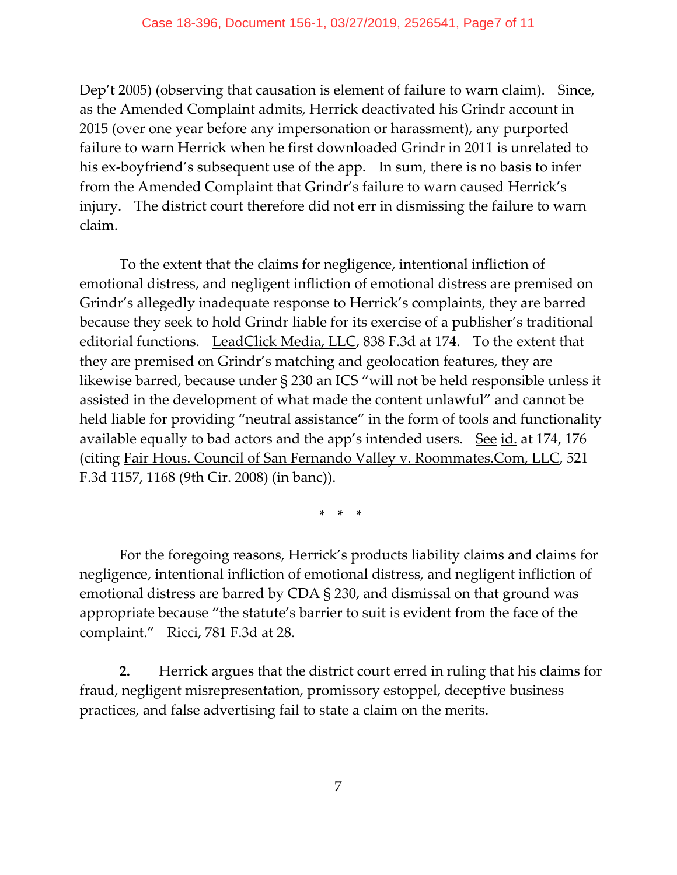Dep't 2005) (observing that causation is element of failure to warn claim). Since, as the Amended Complaint admits, Herrick deactivated his Grindr account in 2015 (over one year before any impersonation or harassment), any purported failure to warn Herrick when he first downloaded Grindr in 2011 is unrelated to his ex-boyfriend's subsequent use of the app. In sum, there is no basis to infer from the Amended Complaint that Grindr's failure to warn caused Herrick's injury. The district court therefore did not err in dismissing the failure to warn claim.

To the extent that the claims for negligence, intentional infliction of emotional distress, and negligent infliction of emotional distress are premised on Grindr's allegedly inadequate response to Herrick's complaints, they are barred because they seek to hold Grindr liable for its exercise of a publisher's traditional editorial functions. LeadClick Media, LLC, 838 F.3d at 174. To the extent that they are premised on Grindr's matching and geolocation features, they are likewise barred, because under § 230 an ICS "will not be held responsible unless it assisted in the development of what made the content unlawful" and cannot be held liable for providing "neutral assistance" in the form of tools and functionality available equally to bad actors and the app's intended users. See id. at 174, 176 (citing Fair Hous. Council of San Fernando Valley v. Roommates.Com, LLC, 521 F.3d 1157, 1168 (9th Cir. 2008) (in banc)).

 $*$   $*$   $*$ 

For the foregoing reasons, Herrick's products liability claims and claims for negligence, intentional infliction of emotional distress, and negligent infliction of emotional distress are barred by CDA § 230, and dismissal on that ground was appropriate because "the statute's barrier to suit is evident from the face of the complaint." Ricci, 781 F.3d at 28.

**2.** Herrick argues that the district court erred in ruling that his claims for fraud, negligent misrepresentation, promissory estoppel, deceptive business practices, and false advertising fail to state a claim on the merits.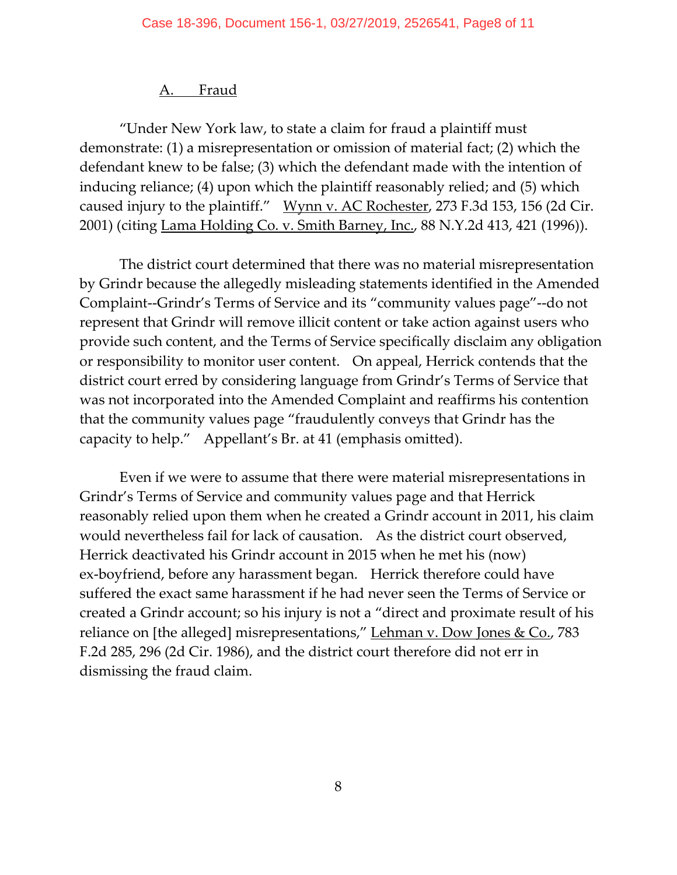#### A. Fraud

"Under New York law, to state a claim for fraud a plaintiff must demonstrate: (1) a misrepresentation or omission of material fact; (2) which the defendant knew to be false; (3) which the defendant made with the intention of inducing reliance; (4) upon which the plaintiff reasonably relied; and (5) which caused injury to the plaintiff." Wynn v. AC Rochester, 273 F.3d 153, 156 (2d Cir. 2001) (citing Lama Holding Co. v. Smith Barney, Inc., 88 N.Y.2d 413, 421 (1996)).

The district court determined that there was no material misrepresentation by Grindr because the allegedly misleading statements identified in the Amended Complaint‐‐Grindr's Terms of Service and its "community values page"‐‐do not represent that Grindr will remove illicit content or take action against users who provide such content, and the Terms of Service specifically disclaim any obligation or responsibility to monitor user content. On appeal, Herrick contends that the district court erred by considering language from Grindr's Terms of Service that was not incorporated into the Amended Complaint and reaffirms his contention that the community values page "fraudulently conveys that Grindr has the capacity to help." Appellant's Br. at 41 (emphasis omitted).

Even if we were to assume that there were material misrepresentations in Grindr's Terms of Service and community values page and that Herrick reasonably relied upon them when he created a Grindr account in 2011, his claim would nevertheless fail for lack of causation. As the district court observed, Herrick deactivated his Grindr account in 2015 when he met his (now) ex-boyfriend, before any harassment began. Herrick therefore could have suffered the exact same harassment if he had never seen the Terms of Service or created a Grindr account; so his injury is not a "direct and proximate result of his reliance on [the alleged] misrepresentations," Lehman v. Dow Jones & Co., 783 F.2d 285, 296 (2d Cir. 1986), and the district court therefore did not err in dismissing the fraud claim.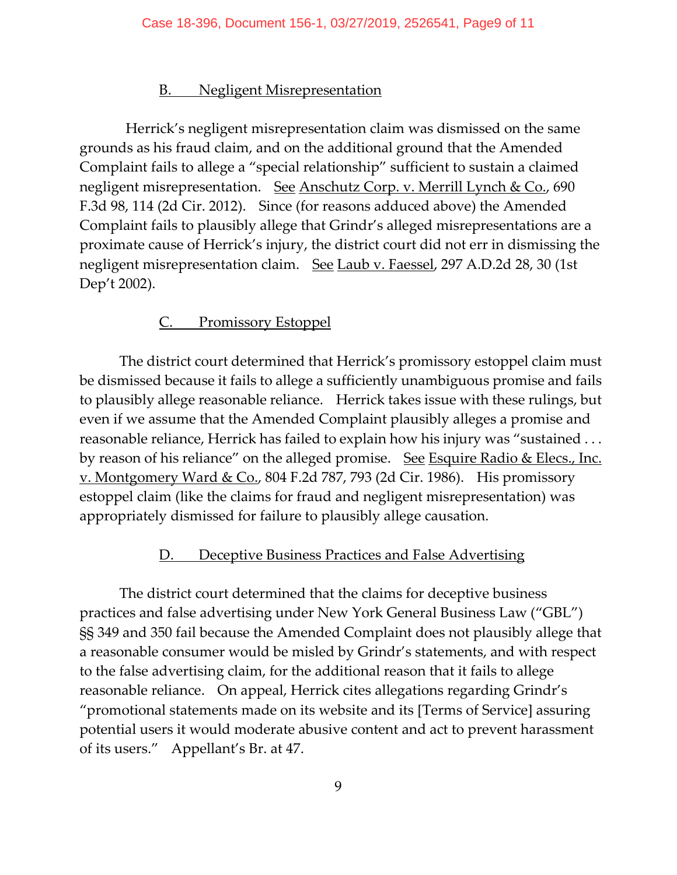#### B. Negligent Misrepresentation

Herrick's negligent misrepresentation claim was dismissed on the same grounds as his fraud claim, and on the additional ground that the Amended Complaint fails to allege a "special relationship" sufficient to sustain a claimed negligent misrepresentation. See Anschutz Corp. v. Merrill Lynch & Co., 690 F.3d 98, 114 (2d Cir. 2012). Since (for reasons adduced above) the Amended Complaint fails to plausibly allege that Grindr's alleged misrepresentations are a proximate cause of Herrick's injury, the district court did not err in dismissing the negligent misrepresentation claim. See Laub v. Faessel, 297 A.D.2d 28, 30 (1st Dep't 2002).

#### C. Promissory Estoppel

The district court determined that Herrick's promissory estoppel claim must be dismissed because it fails to allege a sufficiently unambiguous promise and fails to plausibly allege reasonable reliance. Herrick takes issue with these rulings, but even if we assume that the Amended Complaint plausibly alleges a promise and reasonable reliance, Herrick has failed to explain how his injury was "sustained . . . by reason of his reliance" on the alleged promise. See Esquire Radio & Elecs., Inc. v. Montgomery Ward & Co., 804 F.2d 787, 793 (2d Cir. 1986). His promissory estoppel claim (like the claims for fraud and negligent misrepresentation) was appropriately dismissed for failure to plausibly allege causation.

#### D. Deceptive Business Practices and False Advertising

The district court determined that the claims for deceptive business practices and false advertising under New York General Business Law ("GBL") §§ 349 and 350 fail because the Amended Complaint does not plausibly allege that a reasonable consumer would be misled by Grindr's statements, and with respect to the false advertising claim, for the additional reason that it fails to allege reasonable reliance. On appeal, Herrick cites allegations regarding Grindr's "promotional statements made on its website and its [Terms of Service] assuring potential users it would moderate abusive content and act to prevent harassment of its users." Appellant's Br. at 47.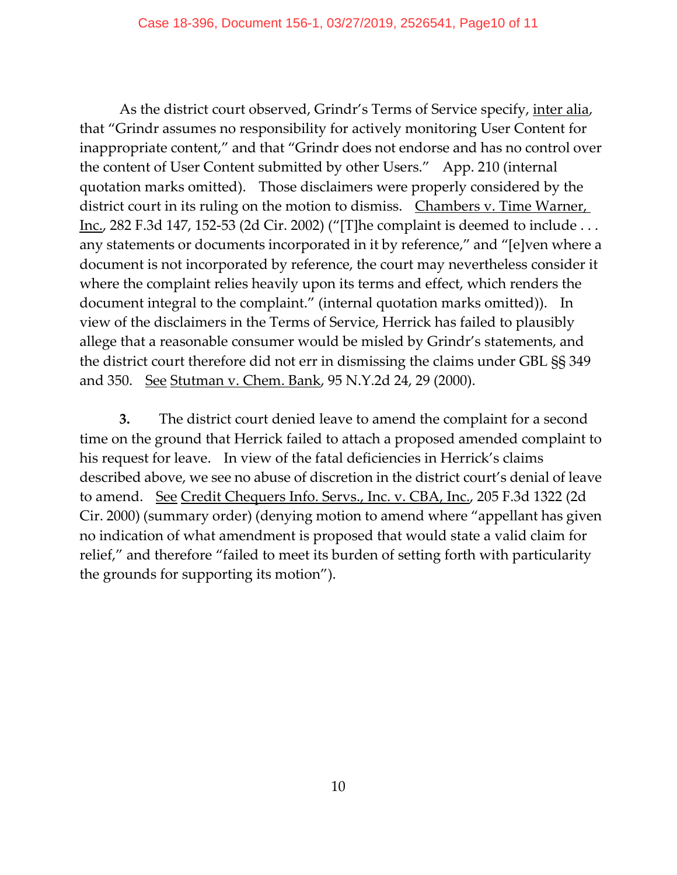As the district court observed, Grindr's Terms of Service specify, inter alia, that "Grindr assumes no responsibility for actively monitoring User Content for inappropriate content," and that "Grindr does not endorse and has no control over the content of User Content submitted by other Users." App. 210 (internal quotation marks omitted). Those disclaimers were properly considered by the district court in its ruling on the motion to dismiss. Chambers v. Time Warner, Inc., 282 F.3d 147, 152‐53 (2d Cir. 2002) ("[T]he complaint is deemed to include . . . any statements or documents incorporated in it by reference," and "[e]ven where a document is not incorporated by reference, the court may nevertheless consider it where the complaint relies heavily upon its terms and effect, which renders the document integral to the complaint." (internal quotation marks omitted)). In view of the disclaimers in the Terms of Service, Herrick has failed to plausibly allege that a reasonable consumer would be misled by Grindr's statements, and the district court therefore did not err in dismissing the claims under GBL §§ 349 and 350. <u>See Stutman v. Chem. Bank</u>, 95 N.Y.2d 24, 29 (2000).

**3.** The district court denied leave to amend the complaint for a second time on the ground that Herrick failed to attach a proposed amended complaint to his request for leave. In view of the fatal deficiencies in Herrick's claims described above, we see no abuse of discretion in the district court's denial of leave to amend. See Credit Chequers Info. Servs., Inc. v. CBA, Inc., 205 F.3d 1322 (2d Cir. 2000) (summary order) (denying motion to amend where "appellant has given no indication of what amendment is proposed that would state a valid claim for relief," and therefore "failed to meet its burden of setting forth with particularity the grounds for supporting its motion").